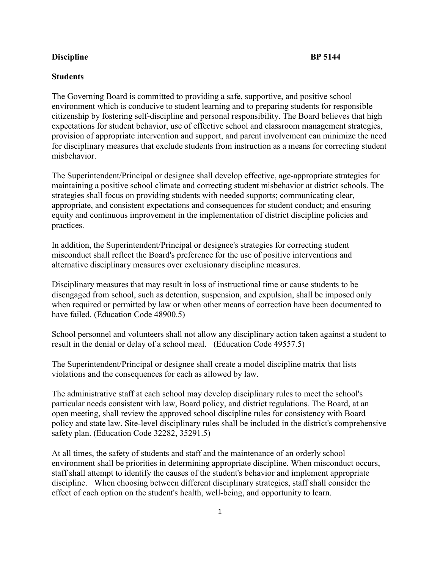## **Discipline** BP 5144

## **Students**

The Governing Board is committed to providing a safe, supportive, and positive school environment which is conducive to student learning and to preparing students for responsible citizenship by fostering self-discipline and personal responsibility. The Board believes that high expectations for student behavior, use of effective school and classroom management strategies, provision of appropriate intervention and support, and parent involvement can minimize the need for disciplinary measures that exclude students from instruction as a means for correcting student misbehavior.

The Superintendent/Principal or designee shall develop effective, age-appropriate strategies for maintaining a positive school climate and correcting student misbehavior at district schools. The strategies shall focus on providing students with needed supports; communicating clear, appropriate, and consistent expectations and consequences for student conduct; and ensuring equity and continuous improvement in the implementation of district discipline policies and practices.

In addition, the Superintendent/Principal or designee's strategies for correcting student misconduct shall reflect the Board's preference for the use of positive interventions and alternative disciplinary measures over exclusionary discipline measures.

Disciplinary measures that may result in loss of instructional time or cause students to be disengaged from school, such as detention, suspension, and expulsion, shall be imposed only when required or permitted by law or when other means of correction have been documented to have failed. (Education Code 48900.5)

School personnel and volunteers shall not allow any disciplinary action taken against a student to result in the denial or delay of a school meal. (Education Code 49557.5)

The Superintendent/Principal or designee shall create a model discipline matrix that lists violations and the consequences for each as allowed by law.

The administrative staff at each school may develop disciplinary rules to meet the school's particular needs consistent with law, Board policy, and district regulations. The Board, at an open meeting, shall review the approved school discipline rules for consistency with Board policy and state law. Site-level disciplinary rules shall be included in the district's comprehensive safety plan. (Education Code 32282, 35291.5)

At all times, the safety of students and staff and the maintenance of an orderly school environment shall be priorities in determining appropriate discipline. When misconduct occurs, staff shall attempt to identify the causes of the student's behavior and implement appropriate discipline. When choosing between different disciplinary strategies, staff shall consider the effect of each option on the student's health, well-being, and opportunity to learn.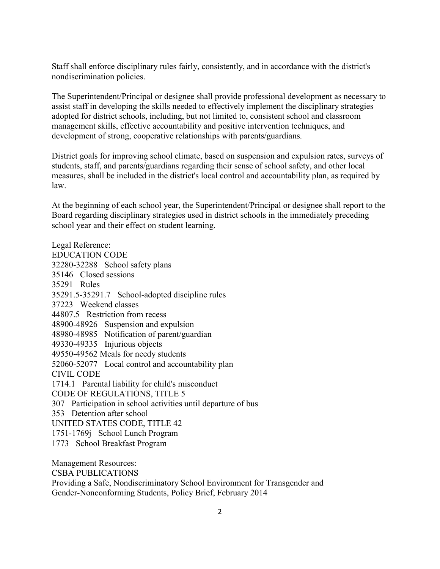Staff shall enforce disciplinary rules fairly, consistently, and in accordance with the district's nondiscrimination policies.

The Superintendent/Principal or designee shall provide professional development as necessary to assist staff in developing the skills needed to effectively implement the disciplinary strategies adopted for district schools, including, but not limited to, consistent school and classroom management skills, effective accountability and positive intervention techniques, and development of strong, cooperative relationships with parents/guardians.

District goals for improving school climate, based on suspension and expulsion rates, surveys of students, staff, and parents/guardians regarding their sense of school safety, and other local measures, shall be included in the district's local control and accountability plan, as required by law.

At the beginning of each school year, the Superintendent/Principal or designee shall report to the Board regarding disciplinary strategies used in district schools in the immediately preceding school year and their effect on student learning.

Legal Reference: EDUCATION CODE 32280-32288 School safety plans 35146 Closed sessions 35291 Rules 35291.5-35291.7 School-adopted discipline rules 37223 Weekend classes 44807.5 Restriction from recess 48900-48926 Suspension and expulsion 48980-48985 Notification of parent/guardian 49330-49335 Injurious objects 49550-49562 Meals for needy students 52060-52077 Local control and accountability plan CIVIL CODE 1714.1 Parental liability for child's misconduct CODE OF REGULATIONS, TITLE 5 307 Participation in school activities until departure of bus 353 Detention after school UNITED STATES CODE, TITLE 42 1751-1769j School Lunch Program 1773 School Breakfast Program Management Resources:

CSBA PUBLICATIONS

Providing a Safe, Nondiscriminatory School Environment for Transgender and Gender-Nonconforming Students, Policy Brief, February 2014